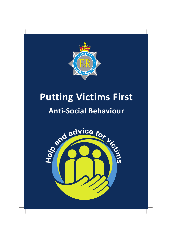

# **Putting Victims First Anti-Social Behaviour**

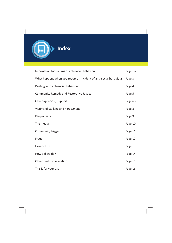

| Information for Victims of anti-social behaviour                  | Page 1-2 |
|-------------------------------------------------------------------|----------|
| What happens when you report an incident of anti-social behaviour | Page 3   |
| Dealing with anti-social behaviour                                | Page 4   |
| Community Remedy and Restorative Justice                          | Page 5   |
| Other agencies / support                                          | Page 6-7 |
| Victims of stalking and harassment                                | Page 8   |
| Keep a diary                                                      | Page 9   |
| The media                                                         | Page 10  |
| Community trigger                                                 | Page 11  |
| Fraud                                                             | Page 12  |
| Have we?                                                          | Page 13  |
| How did we do?                                                    | Page 14  |
| Other useful information                                          | Page 15  |
| This is for your use                                              | Page 16  |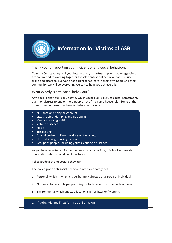

### Thank you for reporting your incident of anti-social behaviour.

Cumbria Constabulary and your local council, in partnership with other agencies, are committed to working together to tackle anti-social behaviour and reduce crime and disorder. Everyone has a right to feel safe in their own home and their community, we will do everything we can to help you achieve this.

### What exactly is anti-social behaviour?

Anti-social behaviour is any activity which causes, or is likely to cause, harassment, alarm or distress to one or more people not of the same household. Some of the more common forms of anti-social behaviour include:

- Nuisance and noisy neighbours
- Litter, rubbish dumping and fly tipping
- Vandalism and graffiti
- Vehicle nuisance
- Noise
- Trespassing
- Animal problems, like stray dogs or fouling etc
- Street drinking, causing a nuisance
- Groups of people, including youths, causing a nuisance.

As you have reported an incident of anti-social behaviour, this booklet provides information which should be of use to you.

Police grading of anti-social behaviour.

The police grade anti-social behaviour into three categories:

- 1. Personal, which is when it is deliberately directed at a group or individual.
- 2. Nuisance, for example people riding motorbikes off roads in fields or noise.
- 3. Environmental which affects a location such as litter or fly tipping.

#### 1 Putting Victims First: Anti-social Behaviour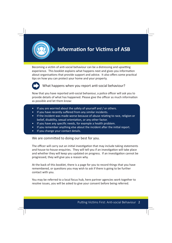

# **Information for Victims of ASB**

Becoming a victim of anti-social behaviour can be a distressing and upsetting experience. This booklet explains what happens next and gives you information about organisations that provide support and advice. It also offers some practical tips on how you can protect your home and your property.



What happens when you report anti-social behaviour?

Now that you have reported anti-social behaviour, a police officer will ask you to provide details of what has happened. Please give the officer as much information as possible and let them know:

- If you are worried about the safety of yourself and / or others.
- If you have recently suffered from any similar incidents.
- If the incident was made worse because of abuse relating to race, religion or belief, disability, sexual orientation, or any other factor.
- If you have any specific needs, for example a health problem.
- If you remember anything else about the incident after the initial report.
- If you change your contact details.

We are committed to doing our best for you.

The officer will carry out an initial investigation that may include taking statements and house-to-house enquiries. They will tell you if an investigation will take place and whether they will keep you updated on progress. If an investigation cannot be progressed, they will give you a reason why.

At the back of this booklet, there is a page for you to record things that you have remembered, or questions you may wish to ask if there is going to be further contact with you.

You may be referred to a local focus hub, here partner agencies work together to resolve issues, you will be asked to give your consent before being referred.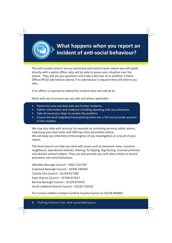

This will usually come in via our command and control room; where you will speak directly with a police officer who will be able to assess your situation over the phone. They will ask you questions and make a decision as to whether a Police Officer/PCSO will need to attend, if no attendance is required they will inform you why.

If an officer is required to attend the incident their aim will be to:

Work with you to ensure you are safe and where applicable -

- Patrol the area and deal with any further incidents.
- Gather information and evidence including speaking with any witnesses.
- Take all necessary steps to resolve the problem.
- Ensure the local neighbourhood policing team has a full and accurate account of the incident.

We may also help with security, for example by providing personal safety alarms, improving your door locks and offering crime prevention advice. We will keep you informed of the progress of any investigation as a result of your report.

The local council can help you deal with issues such as excessive noise, nuisance neighbours, abandoned vehicles, littering, fly tipping, dog fouling, licensed premises and alcohol related matters. They can also provide you with diary sheets to record persistent anti-social behaviour.

Allerdale Borough Council – 0303 1231702 Copeland Borough Council – 01946 598300 Carlisle City Council – 01228 817200 Eden District Council – 01768 817817 Barrow Borough Council – 01229 876543 South Lakeland District Council – 01539 733333

For truancy matters contact Cumbria County Council on 01228 606060.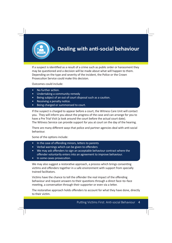

# **Dealing with anti-social behaviour**

If a suspect is identified as a result of a crime such as public order or harassment they may be questioned and a decision will be made about what will happen to them. Depending on the type and severity of the incident, the Police or the Crown Prosecution Service could make this decision.

Outcomes could include:

- No further action.
- Undertaking a community remedy
- Being subject of an out of court disposal such as a caution.
- Receiving a penalty notice.
- Being charged or summonsed to court.

If the suspect is charged to appear before a court, the Witness Care Unit will contact you. They will inform you about the progress of the case and can arrange for you to have a Pre Trial Visit (a look around the court before the actual court date). The Witness Service can provide support for you at court on the day of the hearing.

There are many different ways that police and partner agencies deal with anti-social behaviour.

Some of the options include:

- In the case of offending minors, letters to parents
- Verbal warnings which can be given to offenders
- We may ask offenders to sign an acceptable behaviour contract where the offender voluntarily enters into an agreement to improve behaviour.
- In some cases prosecution.

We may also suggest a restorative approach, a process which brings consenting victims and offenders together in a safe environment with support from specially trained facilitators.

Victims have the chance to tell the offender the real impact of the offending behaviour and request answers to their questions through a direct face–to–face meeting, a conversation through their supporter or even via a letter.

The restorative approach holds offenders to account for what they have done, directly to their victim.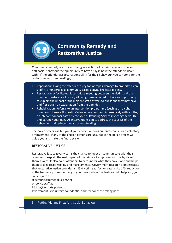

# **Community Remedy and Restorative Justice**

Community Remedy is a process that gives victims of certain types of crime and anti-social behaviour the opportunity to have a say in how the offender is dealt with. If the offender accepts responsibility for their behaviour, you can consider the options under three headings;

- Reparation: Asking the offender to pay for, or repair damage to property, clean graffiti, or undertake a community based activity like litter picking.
- Restoration: A facilitated, face-to-face meeting between the victim and the offender (Restorative Justice), allowing those affected to have an opportunity to explain the impact of the incident, get answers to questions they may have, and / or obtain an explanation from the offender.
- Rehabilitation: Referral to an intervention programme (such as an alcohol diversion scheme / Domestic Violence programme). Alternatively with youths, an intervention facilitated by the Youth Offending Service involving the youth and parent / guardian. All interventions aim to address the cause/s of the behaviour, and reduce the risk of re-offending.

The police officer will tell you if your chosen options are enforceable, or a voluntary arrangement. If any of the chosen options are unsuitable, the police officer will guide you and make the final decision.

#### RESTORATIVE JUSTICE

Restorative justice gives victims the chance to meet or communicate with their offender to explain the real impact of the crime - it empowers victims by giving them a voice. It also holds offenders to account for what they have done and helps them to take responsibility and make amends. Government research demonstrates that restorative justice provides an 85% victim satisfaction rate and a 14% reduction in the frequency of reoffending. If you think Restorative Justice could help you, you can enquire at:

[rj.cumbria@remediuk.cjsm.net](mailto:rj.cumbria@remediuk.cjsm.net) 

or police staff at:

[RJHub@cumbria.police.uk](mailto:RJHub@cumbria.police.uk)

Involvement is voluntary, confidential and free for those taking part.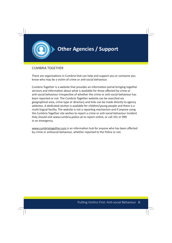

### **Other Agencies / Support**

### CUMBRIA TOGETHER

There are organisations in Cumbria that can help and support you or someone you know who may be a victim of crime or anti-social behaviour.

Cumbria Together is a website that provides an information portal bringing together services and information about what is available for those affected by crime or anti-social behaviour irrespective of whether the crime or anti-social behaviour has been reported or not. The Cumbria Together website can be searched via geographical area, crime type or directory and links can be made directly to agency websites. A dedicated section is available for children/young people and there is a multi-lingual facility. The website is not a reporting mechanism and if anyone using the Cumbria Together site wishes to report a crime or anti-social behaviour incident they should visit www.cumbria.police.uk to report online, or call 101 or 999 in an emergency.

[www.cumbriatogether.com](www.cumbriatogether.com/) is an information hub for anyone who has been affected by crime or antisocial behaviour, whether reported to the Police or not.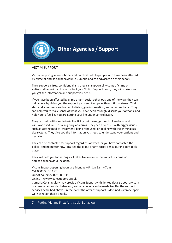

### **Other Agencies / Support**

### VICTIM SUPPORT

Victim Support gives emotional and practical help to people who have been affected by crime or anti-social behaviour in Cumbria and can advocate on their behalf.

Their support is free, confidential and they can support all victims of crime or anti-social behaviour. If you contact your Victim Support team, they will make sure you get the information and support you need.

If you have been affected by crime or anti-social behaviour, one of the ways they can help you is by giving you the support you need to cope with emotional stress. Their staff and volunteers are trained to listen, give information, and offer feedback. They can help you to make sense of what you have been through, discuss your options, and help you to feel like you are getting your life under control again.

They can help with simple tasks like filling out forms, getting broken doors and windows fixed, and installing burglar alarms. They can also assist with bigger issues such as getting medical treatment, being rehoused, or dealing with the criminal justice system. They give you the information you need to understand your options and next steps.

They can be contacted for support regardless of whether you have contacted the police, and no matter how long ago the crime or anti-social behaviour incident took place.

They will help you for as long as it takes to overcome the impact of crime or anti-social behaviour incident.

Victim Support opening hours are Monday – Friday 9am – 7pm.

Call 0300 30 30 157

Out of hours 0800 81689 111

Online – www.victimsupport.org.uk

Cumbria Constabulary may provide Victim Support with limited details about a victim of crime or anti-social behaviour, so that contact can be made to offer the support services described above. In the event the offer of support is declined Victim Support will not retain those details.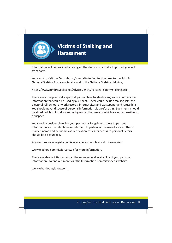

Information will be provided advising on the steps you can take to protect yourself from harm.

You can also visit the Constabulary's website to find further links to the Paladin National Stalking Advocacy Service and to the National Stalking Helpline,

#### https://www.cumbria.police.uk/Advice-Centre/Personal-Safety/Stalking.aspx

There are some practical steps that you can take to identify any sources of personal information that could be used by a suspect. These could include mailing lists, the electoral roll, school or work records, internet sites and wastepaper and refuse bins. You should never dispose of personal information via a refuse bin. Such items should be shredded, burnt or disposed of by some other means, which are not accessible to a suspect.

You should consider changing your passwords for gaining access to personal information via the telephone or internet. In particular, the use of your mother's maiden name and pet names as verification codes for access to personal details should be discouraged.

Anonymous voter registration is available for people at risk. Please visit:

[www.electoralcommission.org.uk](https://www.electoralcommission.org.uk/) for more information.

There are also facilities to restrict the more general availability of your personal information. To find out more visit the Information Commissioner's website:

[www.whatdotheyknow.com](https://www.whatdotheyknow.com/)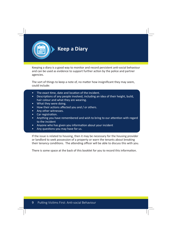

Keeping a diary is a good way to monitor and record persistent anti-social behaviour and can be used as evidence to support further action by the police and partner agencies.

The sort of things to keep a note of, no matter how insignificant they may seem, could include:

- The exact time, date and location of the incident.
- Descriptions of any people involved, including an idea of their height, build, hair colour and what they are wearing.
- What they were doing.
- How their actions affected you and / or others.
- Any other witnesses.
- Car registration.
- Anything you have remembered and wish to bring to our attention with regard to the incident
- Anyone who has given you information about your incident
- Any questions you may have for us.

If the issue is related to housing, then it may be necessary for the housing provider or landlord to seek possession of a property or warn the tenants about breaking their tenancy conditions. The attending officer will be able to discuss this with you.

There is some space at the back of this booklet for you to record this information.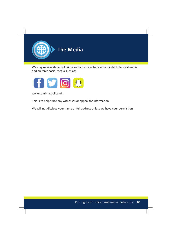

We may release details of crime and anti-social behaviour incidents to local media and on force social media such as:



[www.cumbria.police.uk](https://www.cumbria.police.uk/Home.aspx)

This is to help trace any witnesses or appeal for information.

We will not disclose your name or full address unless we have your permission.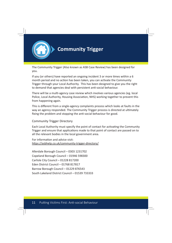

### **Community Trigger**

The Community Trigger (Also known as ASB Case Review) has been designed for you.

If you (or others) have reported an ongoing incident 3 or more times within a  $6$ month period and no action has been taken, you can activate the Community Trigger through your Local Authority. This has been designed to give you the right to demand that agencies deal with persistent anti-social behaviour.

There will be a multi-agency case review which involves various agencies (eg. local Police, Local Authority, Housing Association, NHS) working together to prevent this from happening again.

This is different from a single-agency complaints process which looks at faults in the way an agency responded. The Community Trigger process is directed at ultimately fixing the problem and stopping the anti-social behaviour for good.

#### Community Trigger Directory

Each Local Authority must specify the point of contact for activating the Community Trigger and ensure that applications made to that point of contact are passed on to all the relevant bodies in the local government area.

For information and advice visit: https://asbhelp.co.uk/community-trigger-directory/

Allerdale Borough Council – 0303 1231702 Copeland Borough Council – 01946 598300 Carlisle City Council – 01228 817200 Eden District Council – 01768 817817 Barrow Borough Council – 01229 876543 South Lakeland District Council – 01539 733333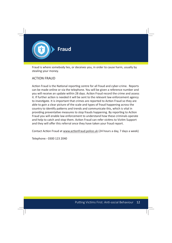

Fraud is where somebody lies, or deceives you, in order to cause harm, usually by stealing your money.

#### ACTION FRAUD

Action Fraud is the National reporting centre for all fraud and cyber-crime. Reports can be made online or via the telephone. You will be given a reference number and you will receive an update within 28 days. Action Fraud record the crime and assess it. If further action is needed it will be sent to the relevant law enforcement agency to investigate. It is important that crimes are reported to Action Fraud so they are able to gain a clear picture of the scale and types of fraud happening across the country to identify patterns and trends and communicate this, which is vital in providing preventative measures to stop frauds happening. By reporting to Action Fraud you will enable law enforcement to understand how these criminals operate and help to catch and stop them. Action Fraud can refer victims to Victim Support and they will offer this referral once they have taken your fraud report.

Contact Action Fraud at www.acti[onfraud.police.uk](https://www.actionfraud.police.uk/) (24 hours a day, 7 days a week)

Telephone:- 0300 123 2040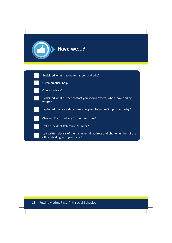

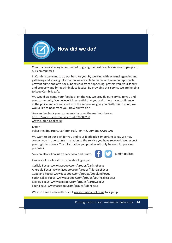

### **How did we do?**

Cumbria Constabulary is committed to giving the best possible service to people in our communities.

In Cumbria we want to do our best for you. By working with external agencies and gathering and sharing information we are able to be pro-active in our approach, prevent crime and anti-social behaviour from happening, protect you, your family and property and bring criminals to justice. By providing this service we are helping to keep Cumbria safe.

We would welcome your feedback on the way we provide our service to you and your community. We believe it is essential that you and others have confidence in the police and are satisfied with the service we give you. With this in mind, we would like to hear from you. How did we do?

You can feedback your comments by using the methods below. https://www.surveymonkey.co.uk/r/8ZBFY38 [www.cumbria.police.uk](https://www.cumbria.police.uk/Home.aspx)

#### Letter:

Police Headquarters, Carleton Hall, Penrith, Cumbria CA10 2AU

We want to do our best for you and your feedback is important to us. We may contact you in due course in relation to the service you have received. We respect your right to privacy. The information you provide will only be used for policing purposes.

You can also follow us on Facebook and Twitter.

Please visit our Local Focus Facebook groups:

Carlisle Focus: [www.facebook.com/groups/CarlisleFocus](https://www.facebook.com/groups/CarlisleFocus/) Allerdale Focus[: www.facebook.com/groups/AllerdaleFocus](https://www.facebook.com/groups/AllerdaleFocus/) Copeland Focus: [www.facebook.com/groups/CopelandFocus](https://www.facebook.com/groups/CopelandFocus/) South Lakes Focus: [www.facebook.com/groups/SouthLakesFocus](https://www.facebook.com/groups/SouthLakesFocus/) Barrow Focus: [www.facebook.com/groups/BarrowFocus](https://www.facebook.com/groups/BarrowFocus/) Eden Focus: [www.facebook.com/groups/EdenFocus](https://www.facebook.com/groups/EdenFocus/)

We also have a newsletter - visit [www.cumbria.police.uk](https://www.cumbria.police.uk/Home.aspx) to sign up



cumbriapolice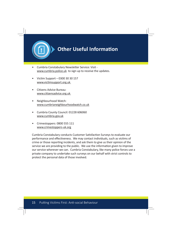

### **Other Useful Information**

- Cumbria Constabulary Newsletter Service: Visit [www.cumbria.police.uk](https://www.cumbria.police.uk/Home.aspx) to sign up to receive the updates.
- Victim Support 0300 30 30 157 www.victimsupport.org.uk
- Citizens Advice Bureau: www.citizensadvice.org.uk
- Neighbourhood Watch: [www.cumbrianeighbourhoodwatch.co.uk](www.cumbrianeighbourhoodwatch.co.uk/)
- Cumbria County Council: 01228 606060 [www.cumbria.gov.uk](https://www.cumbria.gov.uk/)
- Crimestoppers: 0800 555 111 [www.crimestoppers-uk.org](https://crimestoppers-uk.org/)

Cumbria Constabulary conducts Customer Satisfaction Surveys to evaluate our performance and effectiveness. We may contact individuals, such as victims of crime or those reporting incidents, and ask them to give us their opinion of the service we are providing to the public. We use the information given to improve our service wherever we can. Cumbria Constabulary, like many police forces use a private company to undertake such surveys on our behalf with strict controls to protect the personal data of those involved.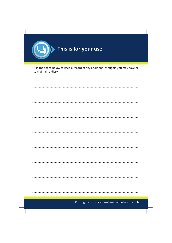

Use the space below to keep a record of any additional thoughts you may have or to maintain a diary.